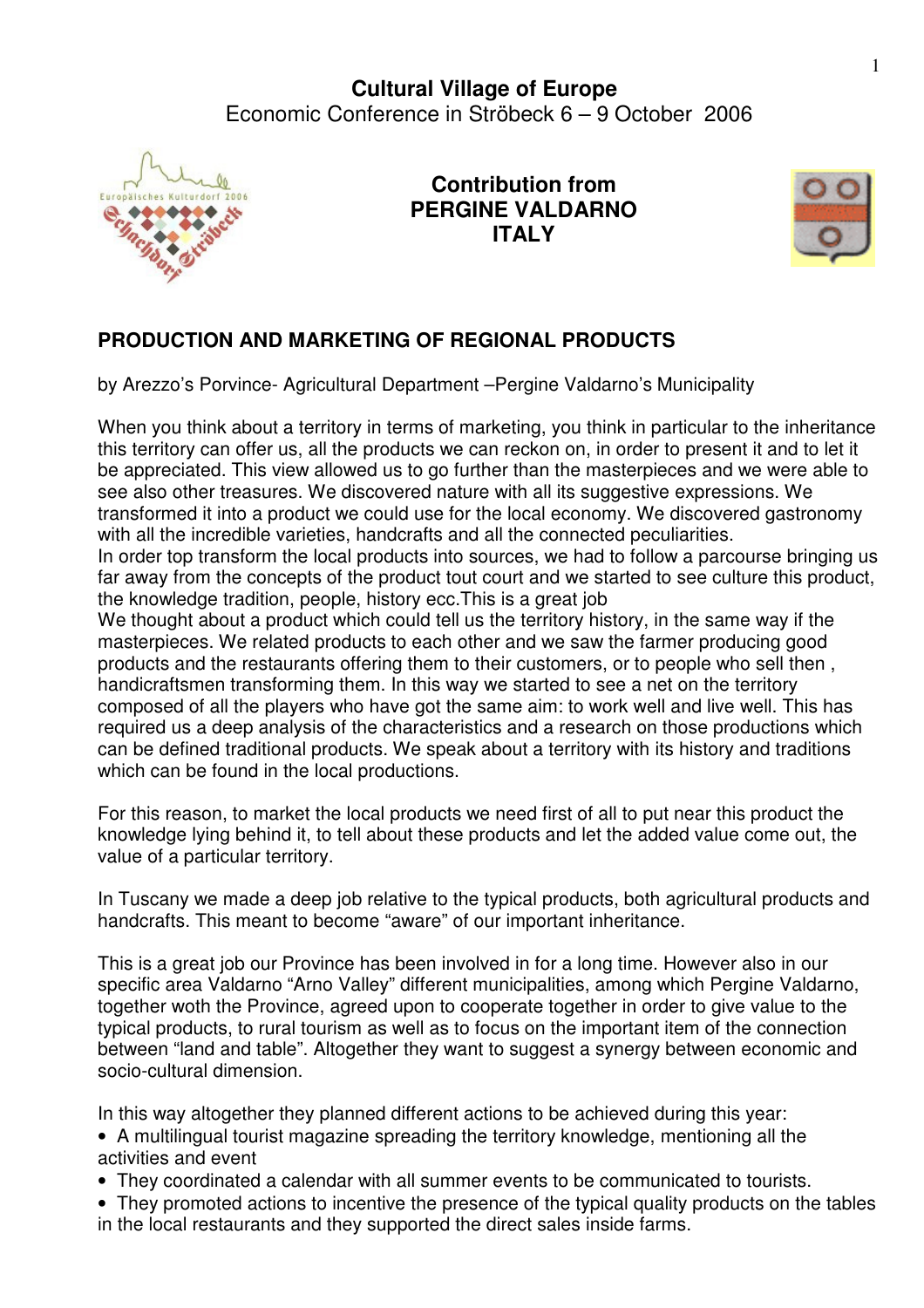

**Contribution from PERGINE VALDARNO ITALY**



## **PRODUCTION AND MARKETING OF REGIONAL PRODUCTS**

by Arezzo's Porvince- Agricultural Department –Pergine Valdarno's Municipality

When you think about a territory in terms of marketing, you think in particular to the inheritance this territory can offer us, all the products we can reckon on, in order to present it and to let it be appreciated. This view allowed us to go further than the masterpieces and we were able to see also other treasures. We discovered nature with all its suggestive expressions. We transformed it into a product we could use for the local economy. We discovered gastronomy with all the incredible varieties, handcrafts and all the connected peculiarities.

In order top transform the local products into sources, we had to follow a parcourse bringing us far away from the concepts of the product tout court and we started to see culture this product, the knowledge tradition, people, history ecc.This is a great job

We thought about a product which could tell us the territory history, in the same way if the masterpieces. We related products to each other and we saw the farmer producing good products and the restaurants offering them to their customers, or to people who sell then , handicraftsmen transforming them. In this way we started to see a net on the territory composed of all the players who have got the same aim: to work well and live well. This has required us a deep analysis of the characteristics and a research on those productions which can be defined traditional products. We speak about a territory with its history and traditions which can be found in the local productions.

For this reason, to market the local products we need first of all to put near this product the knowledge lying behind it, to tell about these products and let the added value come out, the value of a particular territory.

In Tuscany we made a deep job relative to the typical products, both agricultural products and handcrafts. This meant to become "aware" of our important inheritance.

This is a great job our Province has been involved in for a long time. However also in our specific area Valdarno "Arno Valley" different municipalities, among which Pergine Valdarno, together woth the Province, agreed upon to cooperate together in order to give value to the typical products, to rural tourism as well as to focus on the important item of the connection between "land and table". Altogether they want to suggest a synergy between economic and socio-cultural dimension.

In this way altogether they planned different actions to be achieved during this year:

- A multilingual tourist magazine spreading the territory knowledge, mentioning all the activities and event
- They coordinated a calendar with all summer events to be communicated to tourists.
- They promoted actions to incentive the presence of the typical quality products on the tables in the local restaurants and they supported the direct sales inside farms.